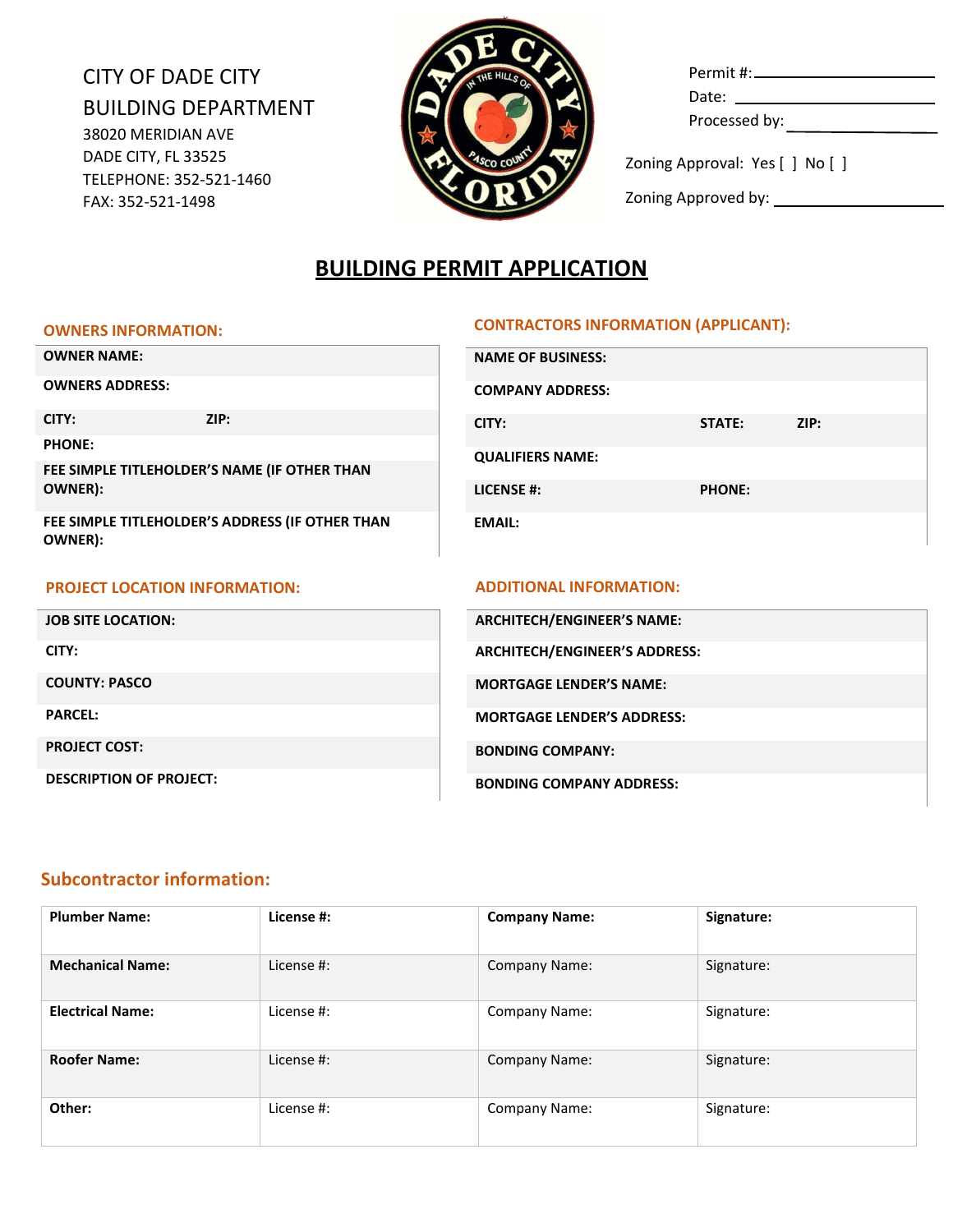# CITY OF DADE CITY BUILDING DEPARTMENT 38020 MERIDIAN AVE DADE CITY, FL 33525 TELEPHONE: 352-521-1460 FAX: 352-521-1498



| Date: ___________________       |  |
|---------------------------------|--|
| Processed by:                   |  |
| Zoning Approval: Yes [ ] No [ ] |  |

Zoning Approved by:

# **BUILDING PERMIT APPLICATION**

#### **OWNERS INFORMATION:**

### **CONTRACTORS INFORMATION (APPLICANT):**

| <b>OWNER NAME:</b>                   |                                                 | <b>NAME OF BUSINESS:</b>             |               |      |
|--------------------------------------|-------------------------------------------------|--------------------------------------|---------------|------|
| <b>OWNERS ADDRESS:</b>               |                                                 | <b>COMPANY ADDRESS:</b>              |               |      |
| CITY:                                | ZIP:                                            | CITY:                                | STATE:        | ZIP: |
| <b>PHONE:</b>                        |                                                 | <b>QUALIFIERS NAME:</b>              |               |      |
|                                      | FEE SIMPLE TITLEHOLDER'S NAME (IF OTHER THAN    |                                      |               |      |
| OWNER):                              |                                                 | <b>LICENSE #:</b>                    | <b>PHONE:</b> |      |
| OWNER):                              | FEE SIMPLE TITLEHOLDER'S ADDRESS (IF OTHER THAN | <b>EMAIL:</b>                        |               |      |
|                                      |                                                 |                                      |               |      |
| <b>PROJECT LOCATION INFORMATION:</b> |                                                 |                                      |               |      |
|                                      |                                                 | <b>ADDITIONAL INFORMATION:</b>       |               |      |
| <b>JOB SITE LOCATION:</b>            |                                                 | <b>ARCHITECH/ENGINEER'S NAME:</b>    |               |      |
| CITY:                                |                                                 | <b>ARCHITECH/ENGINEER'S ADDRESS:</b> |               |      |
| <b>COUNTY: PASCO</b>                 |                                                 | <b>MORTGAGE LENDER'S NAME:</b>       |               |      |
| <b>PARCEL:</b>                       |                                                 | <b>MORTGAGE LENDER'S ADDRESS:</b>    |               |      |
| <b>PROJECT COST:</b>                 |                                                 | <b>BONDING COMPANY:</b>              |               |      |

## **Subcontractor information:**

| <b>Plumber Name:</b>    | License #: | <b>Company Name:</b> | Signature: |
|-------------------------|------------|----------------------|------------|
| <b>Mechanical Name:</b> | License #: | Company Name:        | Signature: |
| <b>Electrical Name:</b> | License #: | Company Name:        | Signature: |
| <b>Roofer Name:</b>     | License #: | Company Name:        | Signature: |
| Other:                  | License #: | Company Name:        | Signature: |